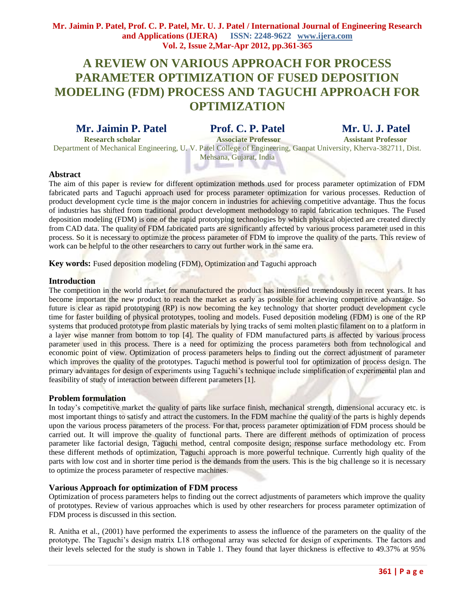# **A REVIEW ON VARIOUS APPROACH FOR PROCESS PARAMETER OPTIMIZATION OF FUSED DEPOSITION MODELING (FDM) PROCESS AND TAGUCHI APPROACH FOR OPTIMIZATION**

## **Mr. Jaimin P. Patel Prof. C. P. Patel Mr. U. J. Patel**

 **Research scholar Associate Professor Assistant Professor**  Department of Mechanical Engineering, U. V. Patel College of Engineering, Ganpat University, Kherva-382711, Dist. Mehsana, Gujarat, India

- -

### **Abstract**

The aim of this paper is review for different optimization methods used for process parameter optimization of FDM fabricated parts and Taguchi approach used for process parameter optimization for various processes. Reduction of product development cycle time is the major concern in industries for achieving competitive advantage. Thus the focus of industries has shifted from traditional product development methodology to rapid fabrication techniques. The Fused deposition modeling (FDM) is one of the rapid prototyping technologies by which physical objected are created directly from CAD data. The quality of FDM fabricated parts are significantly affected by various process parameter used in this process. So it is necessary to optimize the process parameter of FDM to improve the quality of the parts. This review of work can be helpful to the other researchers to carry out further work in the same era.

**Key words:** Fused deposition modeling (FDM), Optimization and Taguchi approach

#### **Introduction**

The competition in the world market for manufactured the product has intensified tremendously in recent years. It has become important the new product to reach the market as early as possible for achieving competitive advantage. So future is clear as rapid prototyping (RP) is now becoming the key technology that shorter product development cycle time for faster building of physical prototypes, tooling and models. Fused deposition modeling (FDM) is one of the RP systems that produced prototype from plastic materials by lying tracks of semi molten plastic filament on to a platform in a layer wise manner from bottom to top [4]. The quality of FDM manufactured parts is affected by various process parameter used in this process. There is a need for optimizing the process parameters both from technological and economic point of view. Optimization of process parameters helps to finding out the correct adjustment of parameter which improves the quality of the prototypes. Taguchi method is powerful tool for optimization of process design. The primary advantages for design of experiments using Taguchi's technique include simplification of experimental plan and feasibility of study of interaction between different parameters [1].

#### **Problem formulation**

In today's competitive market the quality of parts like surface finish, mechanical strength, dimensional accuracy etc. is most important things to satisfy and attract the customers. In the FDM machine the quality of the parts is highly depends upon the various process parameters of the process. For that, process parameter optimization of FDM process should be carried out. It will improve the quality of functional parts. There are different methods of optimization of process parameter like factorial design, Taguchi method, central composite design; response surface methodology etc. From these different methods of optimization, Taguchi approach is more powerful technique. Currently high quality of the parts with low cost and in shorter time period is the demands from the users. This is the big challenge so it is necessary to optimize the process parameter of respective machines.

#### **Various Approach for optimization of FDM process**

Optimization of process parameters helps to finding out the correct adjustments of parameters which improve the quality of prototypes. Review of various approaches which is used by other researchers for process parameter optimization of FDM process is discussed in this section.

R. Anitha et al., (2001) have performed the experiments to assess the influence of the parameters on the quality of the prototype. The Taguchi's design matrix L18 orthogonal array was selected for design of experiments. The factors and their levels selected for the study is shown in Table 1. They found that layer thickness is effective to 49.37% at 95%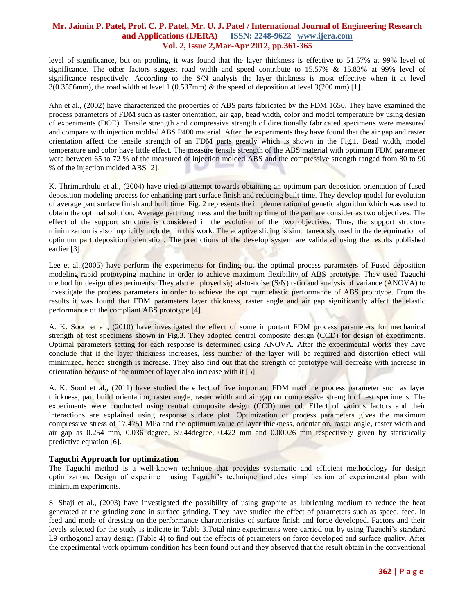level of significance, but on pooling, it was found that the layer thickness is effective to 51.57% at 99% level of significance. The other factors suggest road width and speed contribute to  $15.57\%$  &  $15.83\%$  at 99% level of significance respectively. According to the S/N analysis the layer thickness is most effective when it at level 3(0.3556mm), the road width at level 1 (0.537mm) & the speed of deposition at level 3(200 mm) [1].

Ahn et al., (2002) have characterized the properties of ABS parts fabricated by the FDM 1650. They have examined the process parameters of FDM such as raster orientation, air gap, bead width, color and model temperature by using design of experiments (DOE). Tensile strength and compressive strength of directionally fabricated specimens were measured and compare with injection molded ABS P400 material. After the experiments they have found that the air gap and raster orientation affect the tensile strength of an FDM parts greatly which is shown in the Fig.1. Bead width, model temperature and color have little effect. The measure tensile strength of the ABS material with optimum FDM parameter were between 65 to 72 % of the measured of injection molded ABS and the compressive strength ranged from 80 to 90 % of the injection molded ABS [2].

K. Thrimurthulu et al., (2004) have tried to attempt towards obtaining an optimum part deposition orientation of fused deposition modeling process for enhancing part surface finish and reducing built time. They develop model for evolution of average part surface finish and built time. Fig. 2 represents the implementation of genetic algorithm which was used to obtain the optimal solution. Average part roughness and the built up time of the part are consider as two objectives. The effect of the support structure is considered in the evolution of the two objectives. Thus, the support structure minimization is also implicitly included in this work. The adaptive slicing is simultaneously used in the determination of optimum part deposition orientation. The predictions of the develop system are validated using the results published earlier [3].

Lee et al.,(2005) have perform the experiments for finding out the optimal process parameters of Fused deposition modeling rapid prototyping machine in order to achieve maximum flexibility of ABS prototype. They used Taguchi method for design of experiments. They also employed signal-to-noise (S/N) ratio and analysis of variance (ANOVA) to investigate the process parameters in order to achieve the optimum elastic performance of ABS prototype. From the results it was found that FDM parameters layer thickness, raster angle and air gap significantly affect the elastic performance of the compliant ABS prototype [4].

A. K. Sood et al., (2010) have investigated the effect of some important FDM process parameters for mechanical strength of test specimens shown in Fig.3. They adopted central composite design (CCD) for design of experiments. Optimal parameters setting for each response is determined using ANOVA. After the experimental works they have conclude that if the layer thickness increases, less number of the layer will be required and distortion effect will minimized, hence strength is increase. They also find out that the strength of prototype will decrease with increase in orientation because of the number of layer also increase with it [5].

A. K. Sood et al., (2011) have studied the effect of five important FDM machine process parameter such as layer thickness, part build orientation, raster angle, raster width and air gap on compressive strength of test specimens. The experiments were conducted using central composite design (CCD) method. Effect of various factors and their interactions are explained using response surface plot. Optimization of process parameters gives the maximum compressive stress of 17.4751 MPa and the optimum value of layer thickness, orientation, raster angle, raster width and air gap as 0.254 mm, 0.036 degree, 59.44degree, 0.422 mm and 0.00026 mm respectively given by statistically predictive equation [6].

#### **Taguchi Approach for optimization**

The Taguchi method is a well-known technique that provides systematic and efficient methodology for design optimization. Design of experiment using Taguchi's technique includes simplification of experimental plan with minimum experiments.

S. Shaji et al., (2003) have investigated the possibility of using graphite as lubricating medium to reduce the heat generated at the grinding zone in surface grinding. They have studied the effect of parameters such as speed, feed, in feed and mode of dressing on the performance characteristics of surface finish and force developed. Factors and their levels selected for the study is indicate in Table 3.Total nine experiments were carried out by using Taguchi's standard L9 orthogonal array design (Table 4) to find out the effects of parameters on force developed and surface quality. After the experimental work optimum condition has been found out and they observed that the result obtain in the conventional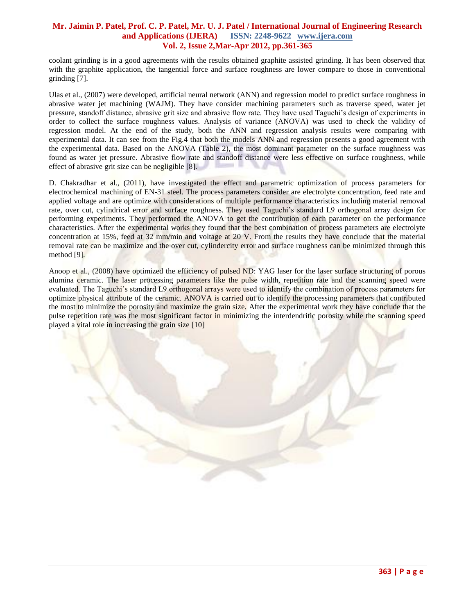coolant grinding is in a good agreements with the results obtained graphite assisted grinding. It has been observed that with the graphite application, the tangential force and surface roughness are lower compare to those in conventional grinding [7].

Ulas et al., (2007) were developed, artificial neural network (ANN) and regression model to predict surface roughness in abrasive water jet machining (WAJM). They have consider machining parameters such as traverse speed, water jet pressure, standoff distance, abrasive grit size and abrasive flow rate. They have used Taguchi's design of experiments in order to collect the surface roughness values. Analysis of variance (ANOVA) was used to check the validity of regression model. At the end of the study, both the ANN and regression analysis results were comparing with experimental data. It can see from the Fig.4 that both the models ANN and regression presents a good agreement with the experimental data. Based on the ANOVA (Table 2), the most dominant parameter on the surface roughness was found as water jet pressure. Abrasive flow rate and standoff distance were less effective on surface roughness, while effect of abrasive grit size can be negligible [8].

D. Chakradhar et al., (2011), have investigated the effect and parametric optimization of process parameters for electrochemical machining of EN-31 steel. The process parameters consider are electrolyte concentration, feed rate and applied voltage and are optimize with considerations of multiple performance characteristics including material removal rate, over cut, cylindrical error and surface roughness. They used Taguchi's standard L9 orthogonal array design for performing experiments. They performed the ANOVA to get the contribution of each parameter on the performance characteristics. After the experimental works they found that the best combination of process parameters are electrolyte concentration at 15%, feed at 32 mm/min and voltage at 20 V. From the results they have conclude that the material removal rate can be maximize and the over cut, cylindercity error and surface roughness can be minimized through this method [9].

Anoop et al., (2008) have optimized the efficiency of pulsed ND: YAG laser for the laser surface structuring of porous alumina ceramic. The laser processing parameters like the pulse width, repetition rate and the scanning speed were evaluated. The Taguchi's standard L9 orthogonal arrays were used to identify the combination of process parameters for optimize physical attribute of the ceramic. ANOVA is carried out to identify the processing parameters that contributed the most to minimize the porosity and maximize the grain size. After the experimental work they have conclude that the pulse repetition rate was the most significant factor in minimizing the interdendritic porosity while the scanning speed played a vital role in increasing the grain size [10]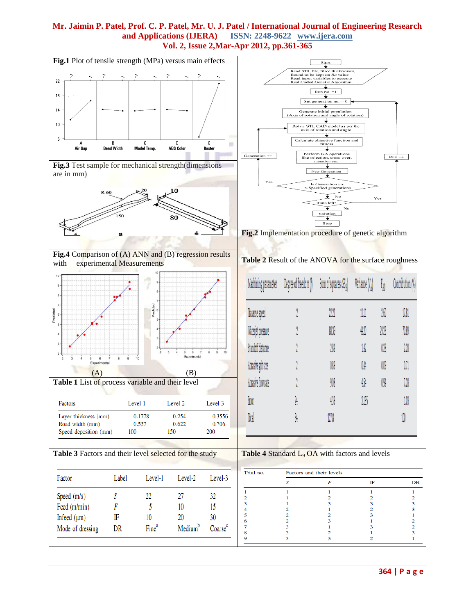